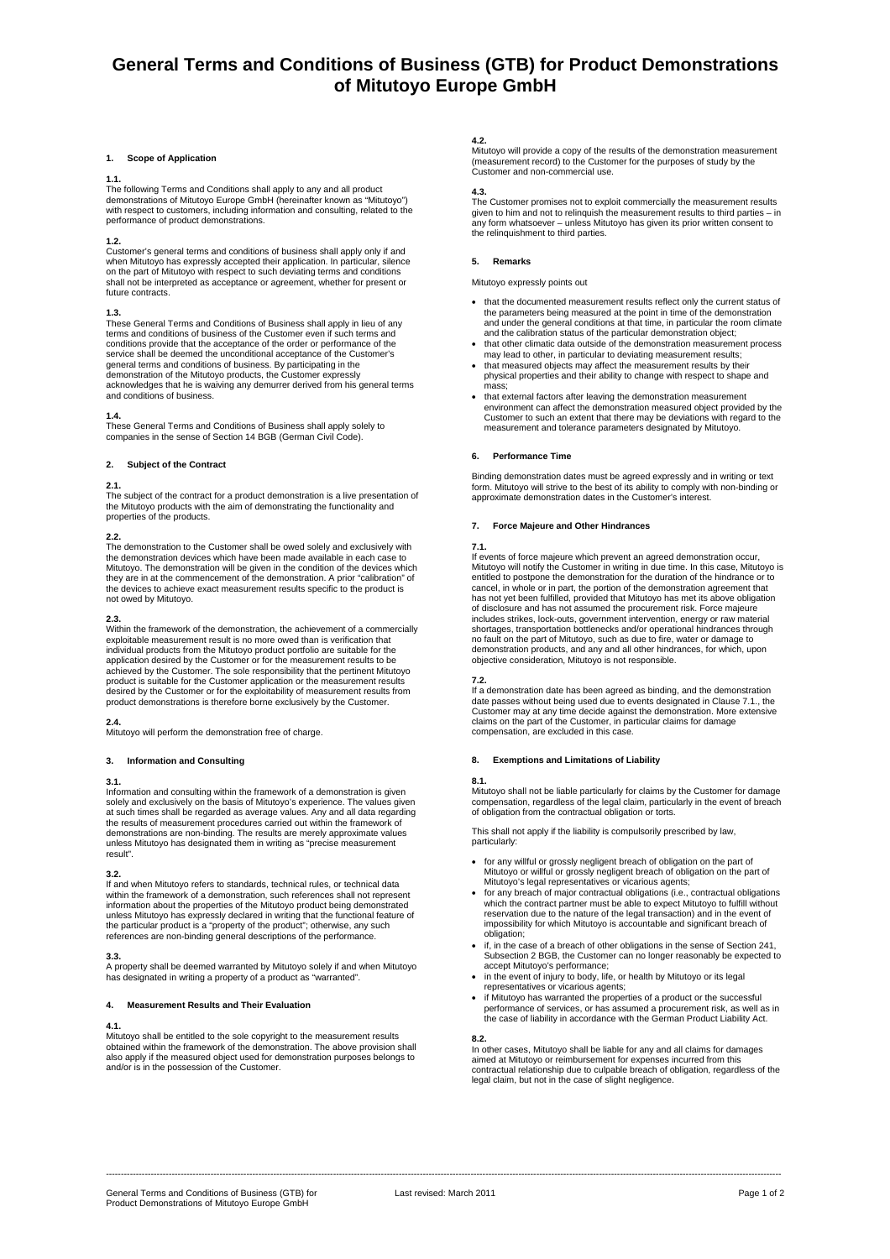# **General Terms and Conditions of Business (GTB) for Product Demonstrations of Mitutoyo Europe GmbH**

### **1. Scope of Application**

#### **1.1.**

The following Terms and Conditions shall apply to any and all product demonstrations of Mitutoyo Europe GmbH (hereinafter known as "Mitutoyo") with respect to customers, including information and consulting, related to the performance of product demonstrations.

### **1.2.**

Customer's general terms and conditions of business shall apply only if and when Mitutoyo has expressly accepted their application. In particular, silence on the part of Mitutoyo with respect to such deviating terms and conditions shall not be interpreted as acceptance or agreement, whether for present or future contracts.

#### **1.3.**

These General Terms and Conditions of Business shall apply in lieu of any terms and conditions of business of the Customer even if such terms and conditions provide that the acceptance of the order or performance of the service shall be deemed the unconditional acceptance of the Customer's general terms and conditions of business. By participating in the demonstration of the Mitutoyo products, the Customer expressly acknowledges that he is waiving any demurrer derived from his general terms and conditions of business.

## **1.4.**

These General Terms and Conditions of Business shall apply solely to companies in the sense of Section 14 BGB (German Civil Code).

# **2. Subject of the Contract**

## **2.1.**

The subject of the contract for a product demonstration is a live presentation of the Mitutoyo products with the aim of demonstrating the functionality and properties of the products.

**2.2.**  The demonstration to the Customer shall be owed solely and exclusively with the demonstration devices which have been made available in each case to Mitutoyo. The demonstration will be given in the condition of the devices which<br>they are in at the commencement of the demonstration. A prior "calibration" of<br>the devices to achieve exact measurement results specific to th not owed by Mitutoyo.

## **2.3.**

Within the framework of the demonstration, the achievement of a commercially exploitable measurement result is no more owed than is verification that individual products from the Mitutoyo product portfolio are suitable for the application desired by the Customer or for the measurement results to be<br>achieved by the Customer. The sole responsibility that the pertinent Mitutoyo<br>product is suitable for the Customer application or the measurement res desired by the Customer or for the exploitability of measurement results from product demonstrations is therefore borne exclusively by the Customer.

**2.4.**  Mitutoyo will perform the demonstration free of charge.

### **3. Information and Consulting**

# **3.1.**

Information and consulting within the framework of a demonstration is given solely and exclusively on the basis of Mitutoyo's experience. The values given at such times shall be regarded as average values. Any and all data regarding the results of measurement procedures carried out within the framework of demonstrations are non-binding. The results are merely approximate values unless Mitutoyo has designated them in writing as "precise measurement result".

# **3.2.**

If and when Mitutoyo refers to standards, technical rules, or technical data within the framework of a demonstration, such references shall not represent information about the properties of the Mitutoyo product being demonstrated unless Mitutoyo has expressly declared in writing that the functional feature of the particular product is a "property of the product"; otherwise, any such references are non-binding general descriptions of the performance.

**3.3.**  A property shall be deemed warranted by Mitutoyo solely if and when Mitutoyo has designated in writing a property of a product as "warranted".

#### **4. Measurement Results and Their Evaluation**

# **4.1.**

Mitutoyo shall be entitled to the sole copyright to the measurement results obtained within the framework of the demonstration. The above provision shall also apply if the measured object used for demonstration purposes belongs to and/or is in the possession of the Customer.

# **4.2.**

Mitutoyo will provide a copy of the results of the demonstration measurement (measurement record) to the Customer for the purposes of study by the Customer and non-commercial use.

**4.3.**  The Customer promises not to exploit commercially the measurement results given to him and not to relinquish the measurement results to third parties – in any form whatsoever – unless Mitutoyo has given its prior written consent to the relinquishment to third parties.

# **5. Remarks**

Mitutoyo expressly points out

- that the documented measurement results reflect only the current status of the parameters being measured at the point in time of the demonstration and under the general conditions at that time, in particular the room climate and the calibration status of the particular demonstration object;
- that other climatic data outside of the demonstration measurement p may lead to other, in particular to deviating measurement results; • that measured objects may affect the measurement results by their
- physical properties and their ability to change with respect to shape and mass;
- that external factors after leaving the demonstration measurement environment can affect the demonstration measured object provided by the Customer to such an extent that there may be deviations with regard to the measurement and tolerance parameters designated by Mitutoyo.

## **6. Performance Time**

Binding demonstration dates must be agreed expressly and in writing or text form. Mitutoyo will strive to the best of its ability to comply with non-binding or approximate demonstration dates in the Customer's interest.

## **7. Force Majeure and Other Hindrances**

### **7.1.**

If events of force majeure which prevent an agreed demonstration occur, Mitutoyo will notify the Customer in writing in due time. In this case, Mitutoyo is entitled to postpone the demonstration for the duration of the hindrance or to cancel, in whole or in part, the portion of the demonstration agreement that has not yet been fulfilled, provided that Mitutoyo has met its above obligation of disclosure and has not assumed the procurement risk. Force majeure includes strikes, lock-outs, government intervention, energy or raw material<br>shortages, transportation bottlenecks and/or operational hindrances through<br>no fault on the part of Mitutoyo, such as due to fire, water or damag demonstration products, and any and all other hindrances, for which, upon objective consideration, Mitutoyo is not responsible.

#### **7.2.**

If a demonstration date has been agreed as binding, and the demonstration date passes without being used due to events designated in Clause 7.1., the Customer may at any time decide against the demonstration. More extensive claims on the part of the Customer, in particular claims for damage compensation, are excluded in this case.

# **8. Exemptions and Limitations of Liability**

# **8.1.**

Mitutoyo shall not be liable particularly for claims by the Customer for damage compensation, regardless of the legal claim, particularly in the event of breach of obligation from the contractual obligation or torts.

This shall not apply if the liability is compulsorily prescribed by law, particularly:

- for any willful or grossly negligent breach of obligation on the part of Mitutoyo or willful or grossly negligent breach of obligation on the part of Mitutoyo's legal representatives or vicarious agents;
- for any breach of major contractual obligations (i.e., contractual obligations which the contract partner must be able to expect Mitutoyo to fulfill without reservation due to the nature of the legal transaction) and in the event of impossibility for which Mitutoyo is accountable and significant breach of obligation;
- if, in the case of a breach of other obligations in the sense of Section 241, Subsection 2 BGB, the Customer can no longer reasonably be expected to accept Mitutoyo's performance;
- in the event of injury to body, life, or health by Mitutoyo or its legal representatives or vicarious agents;
- if Mitutoyo has warranted the properties of a product or the successful performance of services, or has assumed a procurement risk, as well as in the case of liability in accordance with the German Product Liability Act.

**8.2.**  In other cases, Mitutoyo shall be liable for any and all claims for damages aimed at Mitutoyo or reimbursement for expenses incurred from this contractual relationship due to culpable breach of obligation, regardless of the legal claim, but not in the case of slight negligence.